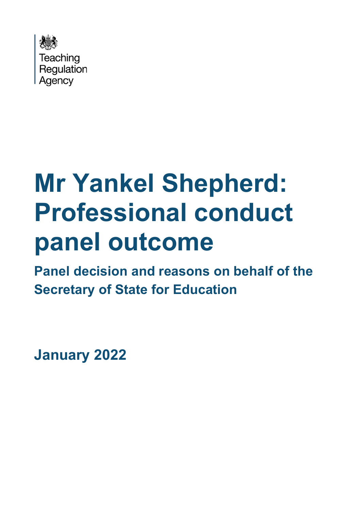

# **Mr Yankel Shepherd: Professional conduct panel outcome**

**Panel decision and reasons on behalf of the Secretary of State for Education**

**January 2022**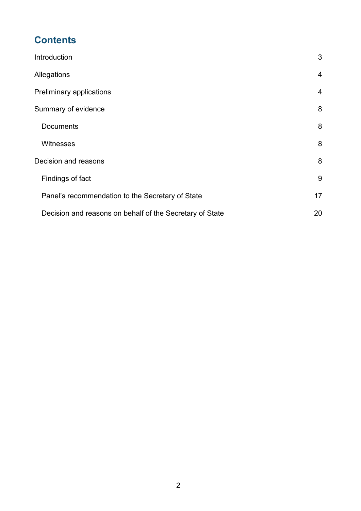# **Contents**

| Introduction                                             | 3  |
|----------------------------------------------------------|----|
| Allegations                                              | 4  |
| Preliminary applications                                 | 4  |
| Summary of evidence                                      | 8  |
| <b>Documents</b>                                         | 8  |
| <b>Witnesses</b>                                         | 8  |
| Decision and reasons                                     | 8  |
| Findings of fact                                         | 9  |
| Panel's recommendation to the Secretary of State         | 17 |
| Decision and reasons on behalf of the Secretary of State | 20 |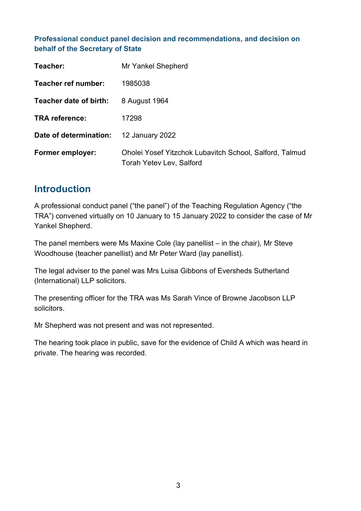#### **Professional conduct panel decision and recommendations, and decision on behalf of the Secretary of State**

| Teacher:                | Mr Yankel Shepherd                                                                         |
|-------------------------|--------------------------------------------------------------------------------------------|
| Teacher ref number:     | 1985038                                                                                    |
| Teacher date of birth:  | 8 August 1964                                                                              |
| <b>TRA reference:</b>   | 17298                                                                                      |
| Date of determination:  | <b>12 January 2022</b>                                                                     |
| <b>Former employer:</b> | Oholei Yosef Yitzchok Lubavitch School, Salford, Talmud<br><b>Torah Yetev Lev, Salford</b> |

## <span id="page-2-0"></span>**Introduction**

A professional conduct panel ("the panel") of the Teaching Regulation Agency ("the TRA") convened virtually on 10 January to 15 January 2022 to consider the case of Mr Yankel Shepherd.

The panel members were Ms Maxine Cole (lay panellist – in the chair), Mr Steve Woodhouse (teacher panellist) and Mr Peter Ward (lay panellist).

The legal adviser to the panel was Mrs Luisa Gibbons of Eversheds Sutherland (International) LLP solicitors.

The presenting officer for the TRA was Ms Sarah Vince of Browne Jacobson LLP solicitors.

Mr Shepherd was not present and was not represented.

The hearing took place in public, save for the evidence of Child A which was heard in private. The hearing was recorded.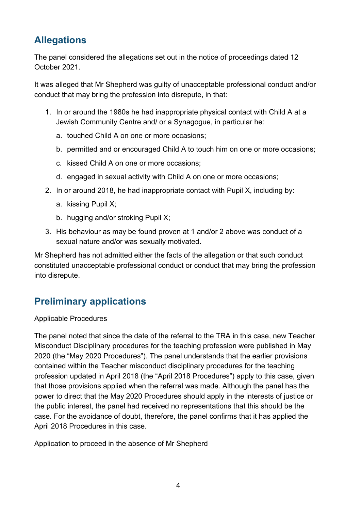## <span id="page-3-0"></span>**Allegations**

The panel considered the allegations set out in the notice of proceedings dated 12 October 2021.

It was alleged that Mr Shepherd was guilty of unacceptable professional conduct and/or conduct that may bring the profession into disrepute, in that:

- 1. In or around the 1980s he had inappropriate physical contact with Child A at a Jewish Community Centre and/ or a Synagogue, in particular he:
	- a. touched Child A on one or more occasions;
	- b. permitted and or encouraged Child A to touch him on one or more occasions;
	- c. kissed Child A on one or more occasions;
	- d. engaged in sexual activity with Child A on one or more occasions;
- 2. In or around 2018, he had inappropriate contact with Pupil X, including by:
	- a. kissing Pupil X;
	- b. hugging and/or stroking Pupil X;
- 3. His behaviour as may be found proven at 1 and/or 2 above was conduct of a sexual nature and/or was sexually motivated.

Mr Shepherd has not admitted either the facts of the allegation or that such conduct constituted unacceptable professional conduct or conduct that may bring the profession into disrepute.

## <span id="page-3-1"></span>**Preliminary applications**

#### Applicable Procedures

The panel noted that since the date of the referral to the TRA in this case, new Teacher Misconduct Disciplinary procedures for the teaching profession were published in May 2020 (the "May 2020 Procedures"). The panel understands that the earlier provisions contained within the Teacher misconduct disciplinary procedures for the teaching profession updated in April 2018 (the "April 2018 Procedures") apply to this case, given that those provisions applied when the referral was made. Although the panel has the power to direct that the May 2020 Procedures should apply in the interests of justice or the public interest, the panel had received no representations that this should be the case. For the avoidance of doubt, therefore, the panel confirms that it has applied the April 2018 Procedures in this case.

#### Application to proceed in the absence of Mr Shepherd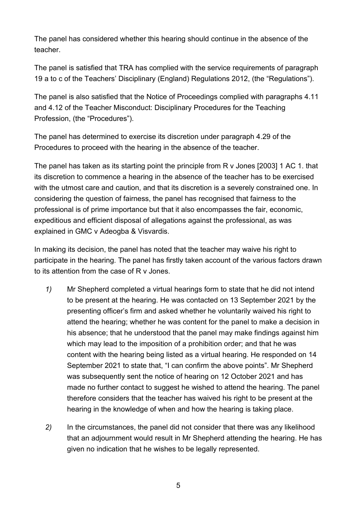The panel has considered whether this hearing should continue in the absence of the teacher.

The panel is satisfied that TRA has complied with the service requirements of paragraph 19 a to c of the Teachers' Disciplinary (England) Regulations 2012, (the "Regulations").

The panel is also satisfied that the Notice of Proceedings complied with paragraphs 4.11 and 4.12 of the Teacher Misconduct: Disciplinary Procedures for the Teaching Profession, (the "Procedures").

The panel has determined to exercise its discretion under paragraph 4.29 of the Procedures to proceed with the hearing in the absence of the teacher.

The panel has taken as its starting point the principle from R v Jones [2003] 1 AC 1. that its discretion to commence a hearing in the absence of the teacher has to be exercised with the utmost care and caution, and that its discretion is a severely constrained one. In considering the question of fairness, the panel has recognised that fairness to the professional is of prime importance but that it also encompasses the fair, economic, expeditious and efficient disposal of allegations against the professional, as was explained in GMC v Adeogba & Visvardis.

In making its decision, the panel has noted that the teacher may waive his right to participate in the hearing. The panel has firstly taken account of the various factors drawn to its attention from the case of R v Jones.

- *1)* Mr Shepherd completed a virtual hearings form to state that he did not intend to be present at the hearing. He was contacted on 13 September 2021 by the presenting officer's firm and asked whether he voluntarily waived his right to attend the hearing; whether he was content for the panel to make a decision in his absence; that he understood that the panel may make findings against him which may lead to the imposition of a prohibition order; and that he was content with the hearing being listed as a virtual hearing. He responded on 14 September 2021 to state that, "I can confirm the above points". Mr Shepherd was subsequently sent the notice of hearing on 12 October 2021 and has made no further contact to suggest he wished to attend the hearing. The panel therefore considers that the teacher has waived his right to be present at the hearing in the knowledge of when and how the hearing is taking place.
- *2)* In the circumstances, the panel did not consider that there was any likelihood that an adjournment would result in Mr Shepherd attending the hearing. He has given no indication that he wishes to be legally represented.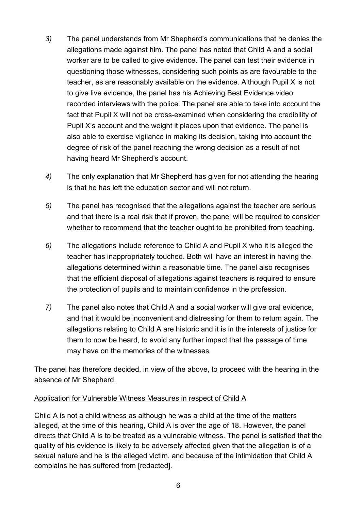- *3)* The panel understands from Mr Shepherd's communications that he denies the allegations made against him. The panel has noted that Child A and a social worker are to be called to give evidence. The panel can test their evidence in questioning those witnesses, considering such points as are favourable to the teacher, as are reasonably available on the evidence. Although Pupil X is not to give live evidence, the panel has his Achieving Best Evidence video recorded interviews with the police. The panel are able to take into account the fact that Pupil X will not be cross-examined when considering the credibility of Pupil X's account and the weight it places upon that evidence. The panel is also able to exercise vigilance in making its decision, taking into account the degree of risk of the panel reaching the wrong decision as a result of not having heard Mr Shepherd's account.
- *4)* The only explanation that Mr Shepherd has given for not attending the hearing is that he has left the education sector and will not return.
- *5)* The panel has recognised that the allegations against the teacher are serious and that there is a real risk that if proven, the panel will be required to consider whether to recommend that the teacher ought to be prohibited from teaching.
- *6)* The allegations include reference to Child A and Pupil X who it is alleged the teacher has inappropriately touched. Both will have an interest in having the allegations determined within a reasonable time. The panel also recognises that the efficient disposal of allegations against teachers is required to ensure the protection of pupils and to maintain confidence in the profession.
- *7)* The panel also notes that Child A and a social worker will give oral evidence, and that it would be inconvenient and distressing for them to return again. The allegations relating to Child A are historic and it is in the interests of justice for them to now be heard, to avoid any further impact that the passage of time may have on the memories of the witnesses.

The panel has therefore decided, in view of the above, to proceed with the hearing in the absence of Mr Shepherd.

#### Application for Vulnerable Witness Measures in respect of Child A

Child A is not a child witness as although he was a child at the time of the matters alleged, at the time of this hearing, Child A is over the age of 18. However, the panel directs that Child A is to be treated as a vulnerable witness. The panel is satisfied that the quality of his evidence is likely to be adversely affected given that the allegation is of a sexual nature and he is the alleged victim, and because of the intimidation that Child A complains he has suffered from [redacted].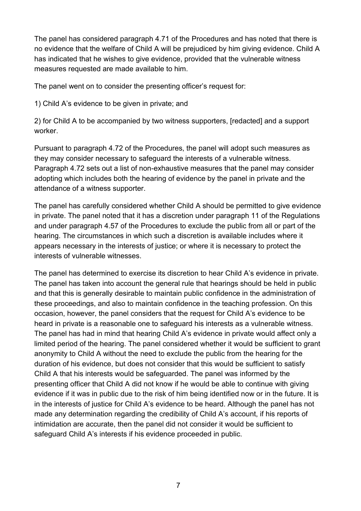The panel has considered paragraph 4.71 of the Procedures and has noted that there is no evidence that the welfare of Child A will be prejudiced by him giving evidence. Child A has indicated that he wishes to give evidence, provided that the vulnerable witness measures requested are made available to him.

The panel went on to consider the presenting officer's request for:

1) Child A's evidence to be given in private; and

2) for Child A to be accompanied by two witness supporters, [redacted] and a support worker.

Pursuant to paragraph 4.72 of the Procedures, the panel will adopt such measures as they may consider necessary to safeguard the interests of a vulnerable witness. Paragraph 4.72 sets out a list of non-exhaustive measures that the panel may consider adopting which includes both the hearing of evidence by the panel in private and the attendance of a witness supporter.

The panel has carefully considered whether Child A should be permitted to give evidence in private. The panel noted that it has a discretion under paragraph 11 of the Regulations and under paragraph 4.57 of the Procedures to exclude the public from all or part of the hearing. The circumstances in which such a discretion is available includes where it appears necessary in the interests of justice; or where it is necessary to protect the interests of vulnerable witnesses.

The panel has determined to exercise its discretion to hear Child A's evidence in private. The panel has taken into account the general rule that hearings should be held in public and that this is generally desirable to maintain public confidence in the administration of these proceedings, and also to maintain confidence in the teaching profession. On this occasion, however, the panel considers that the request for Child A's evidence to be heard in private is a reasonable one to safeguard his interests as a vulnerable witness. The panel has had in mind that hearing Child A's evidence in private would affect only a limited period of the hearing. The panel considered whether it would be sufficient to grant anonymity to Child A without the need to exclude the public from the hearing for the duration of his evidence, but does not consider that this would be sufficient to satisfy Child A that his interests would be safeguarded. The panel was informed by the presenting officer that Child A did not know if he would be able to continue with giving evidence if it was in public due to the risk of him being identified now or in the future. It is in the interests of justice for Child A's evidence to be heard. Although the panel has not made any determination regarding the credibility of Child A's account, if his reports of intimidation are accurate, then the panel did not consider it would be sufficient to safeguard Child A's interests if his evidence proceeded in public.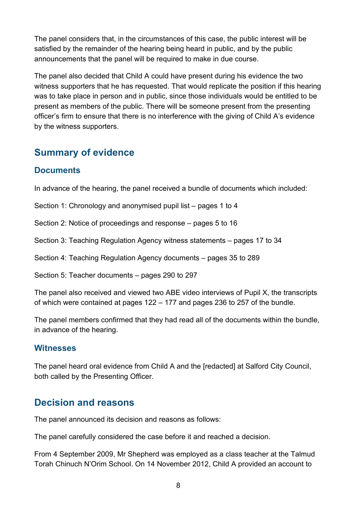The panel considers that, in the circumstances of this case, the public interest will be satisfied by the remainder of the hearing being heard in public, and by the public announcements that the panel will be required to make in due course.

The panel also decided that Child A could have present during his evidence the two witness supporters that he has requested. That would replicate the position if this hearing was to take place in person and in public, since those individuals would be entitled to be present as members of the public. There will be someone present from the presenting officer's firm to ensure that there is no interference with the giving of Child A's evidence by the witness supporters.

## <span id="page-7-0"></span>**Summary of evidence**

## <span id="page-7-1"></span>**Documents**

In advance of the hearing, the panel received a bundle of documents which included:

Section 1: Chronology and anonymised pupil list – pages 1 to 4

Section 2: Notice of proceedings and response – pages 5 to 16

Section 3: Teaching Regulation Agency witness statements – pages 17 to 34

Section 4: Teaching Regulation Agency documents – pages 35 to 289

Section 5: Teacher documents – pages 290 to 297

The panel also received and viewed two ABE video interviews of Pupil X, the transcripts of which were contained at pages 122 – 177 and pages 236 to 257 of the bundle.

The panel members confirmed that they had read all of the documents within the bundle, in advance of the hearing.

#### <span id="page-7-2"></span>**Witnesses**

The panel heard oral evidence from Child A and the [redacted] at Salford City Council, both called by the Presenting Officer.

## <span id="page-7-3"></span>**Decision and reasons**

The panel announced its decision and reasons as follows:

The panel carefully considered the case before it and reached a decision.

From 4 September 2009, Mr Shepherd was employed as a class teacher at the Talmud Torah Chinuch N'Orim School. On 14 November 2012, Child A provided an account to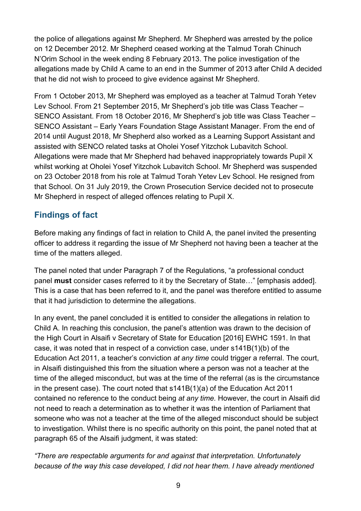the police of allegations against Mr Shepherd. Mr Shepherd was arrested by the police on 12 December 2012. Mr Shepherd ceased working at the Talmud Torah Chinuch N'Orim School in the week ending 8 February 2013. The police investigation of the allegations made by Child A came to an end in the Summer of 2013 after Child A decided that he did not wish to proceed to give evidence against Mr Shepherd.

From 1 October 2013, Mr Shepherd was employed as a teacher at Talmud Torah Yetev Lev School. From 21 September 2015, Mr Shepherd's job title was Class Teacher – SENCO Assistant. From 18 October 2016, Mr Shepherd's job title was Class Teacher – SENCO Assistant – Early Years Foundation Stage Assistant Manager. From the end of 2014 until August 2018, Mr Shepherd also worked as a Learning Support Assistant and assisted with SENCO related tasks at Oholei Yosef Yitzchok Lubavitch School. Allegations were made that Mr Shepherd had behaved inappropriately towards Pupil X whilst working at Oholei Yosef Yitzchok Lubavitch School. Mr Shepherd was suspended on 23 October 2018 from his role at Talmud Torah Yetev Lev School. He resigned from that School. On 31 July 2019, the Crown Prosecution Service decided not to prosecute Mr Shepherd in respect of alleged offences relating to Pupil X.

## <span id="page-8-0"></span>**Findings of fact**

Before making any findings of fact in relation to Child A, the panel invited the presenting officer to address it regarding the issue of Mr Shepherd not having been a teacher at the time of the matters alleged.

The panel noted that under Paragraph 7 of the Regulations, "a professional conduct panel **must** consider cases referred to it by the Secretary of State…" [emphasis added]. This is a case that has been referred to it, and the panel was therefore entitled to assume that it had jurisdiction to determine the allegations.

In any event, the panel concluded it is entitled to consider the allegations in relation to Child A. In reaching this conclusion, the panel's attention was drawn to the decision of the High Court in Alsaifi v Secretary of State for Education [2016] EWHC 1591. In that case, it was noted that in respect of a conviction case, under s141B(1)(b) of the Education Act 2011, a teacher's conviction *at any time* could trigger a referral. The court, in Alsaifi distinguished this from the situation where a person was not a teacher at the time of the alleged misconduct, but was at the time of the referral (as is the circumstance in the present case). The court noted that s141B(1)(a) of the Education Act 2011 contained no reference to the conduct being *at any time.* However, the court in Alsaifi did not need to reach a determination as to whether it was the intention of Parliament that someone who was not a teacher at the time of the alleged misconduct should be subject to investigation. Whilst there is no specific authority on this point, the panel noted that at paragraph 65 of the Alsaifi judgment, it was stated:

*"There are respectable arguments for and against that interpretation. Unfortunately because of the way this case developed, I did not hear them. I have already mentioned*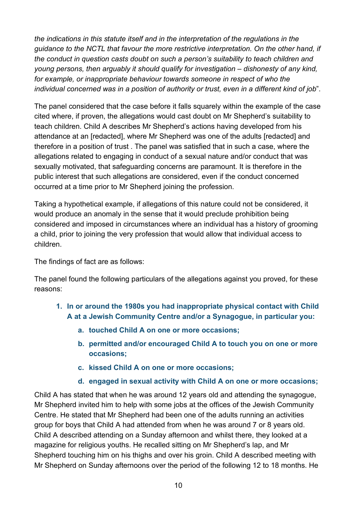*the indications in this statute itself and in the interpretation of the regulations in the guidance to the NCTL that favour the more restrictive interpretation. On the other hand, if the conduct in question casts doubt on such a person's suitability to teach children and young persons, then arguably it should qualify for investigation – dishonesty of any kind, for example, or inappropriate behaviour towards someone in respect of who the individual concerned was in a position of authority or trust, even in a different kind of job*".

The panel considered that the case before it falls squarely within the example of the case cited where, if proven, the allegations would cast doubt on Mr Shepherd's suitability to teach children. Child A describes Mr Shepherd's actions having developed from his attendance at an [redacted], where Mr Shepherd was one of the adults [redacted] and therefore in a position of trust . The panel was satisfied that in such a case, where the allegations related to engaging in conduct of a sexual nature and/or conduct that was sexually motivated, that safeguarding concerns are paramount. It is therefore in the public interest that such allegations are considered, even if the conduct concerned occurred at a time prior to Mr Shepherd joining the profession.

Taking a hypothetical example, if allegations of this nature could not be considered, it would produce an anomaly in the sense that it would preclude prohibition being considered and imposed in circumstances where an individual has a history of grooming a child, prior to joining the very profession that would allow that individual access to children.

The findings of fact are as follows:

The panel found the following particulars of the allegations against you proved, for these reasons:

- **1. In or around the 1980s you had inappropriate physical contact with Child A at a Jewish Community Centre and/or a Synagogue, in particular you:**
	- **a. touched Child A on one or more occasions;**
	- **b. permitted and/or encouraged Child A to touch you on one or more occasions;**
	- **c. kissed Child A on one or more occasions;**
	- **d. engaged in sexual activity with Child A on one or more occasions;**

Child A has stated that when he was around 12 years old and attending the synagogue, Mr Shepherd invited him to help with some jobs at the offices of the Jewish Community Centre. He stated that Mr Shepherd had been one of the adults running an activities group for boys that Child A had attended from when he was around 7 or 8 years old. Child A described attending on a Sunday afternoon and whilst there, they looked at a magazine for religious youths. He recalled sitting on Mr Shepherd's lap, and Mr Shepherd touching him on his thighs and over his groin. Child A described meeting with Mr Shepherd on Sunday afternoons over the period of the following 12 to 18 months. He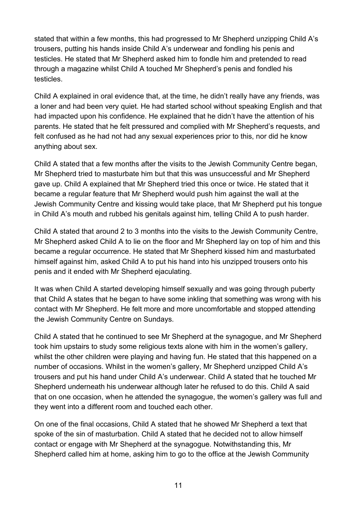stated that within a few months, this had progressed to Mr Shepherd unzipping Child A's trousers, putting his hands inside Child A's underwear and fondling his penis and testicles. He stated that Mr Shepherd asked him to fondle him and pretended to read through a magazine whilst Child A touched Mr Shepherd's penis and fondled his testicles.

Child A explained in oral evidence that, at the time, he didn't really have any friends, was a loner and had been very quiet. He had started school without speaking English and that had impacted upon his confidence. He explained that he didn't have the attention of his parents. He stated that he felt pressured and complied with Mr Shepherd's requests, and felt confused as he had not had any sexual experiences prior to this, nor did he know anything about sex.

Child A stated that a few months after the visits to the Jewish Community Centre began, Mr Shepherd tried to masturbate him but that this was unsuccessful and Mr Shepherd gave up. Child A explained that Mr Shepherd tried this once or twice. He stated that it became a regular feature that Mr Shepherd would push him against the wall at the Jewish Community Centre and kissing would take place, that Mr Shepherd put his tongue in Child A's mouth and rubbed his genitals against him, telling Child A to push harder.

Child A stated that around 2 to 3 months into the visits to the Jewish Community Centre, Mr Shepherd asked Child A to lie on the floor and Mr Shepherd lay on top of him and this became a regular occurrence. He stated that Mr Shepherd kissed him and masturbated himself against him, asked Child A to put his hand into his unzipped trousers onto his penis and it ended with Mr Shepherd ejaculating.

It was when Child A started developing himself sexually and was going through puberty that Child A states that he began to have some inkling that something was wrong with his contact with Mr Shepherd. He felt more and more uncomfortable and stopped attending the Jewish Community Centre on Sundays.

Child A stated that he continued to see Mr Shepherd at the synagogue, and Mr Shepherd took him upstairs to study some religious texts alone with him in the women's gallery, whilst the other children were playing and having fun. He stated that this happened on a number of occasions. Whilst in the women's gallery, Mr Shepherd unzipped Child A's trousers and put his hand under Child A's underwear. Child A stated that he touched Mr Shepherd underneath his underwear although later he refused to do this. Child A said that on one occasion, when he attended the synagogue, the women's gallery was full and they went into a different room and touched each other.

On one of the final occasions, Child A stated that he showed Mr Shepherd a text that spoke of the sin of masturbation. Child A stated that he decided not to allow himself contact or engage with Mr Shepherd at the synagogue. Notwithstanding this, Mr Shepherd called him at home, asking him to go to the office at the Jewish Community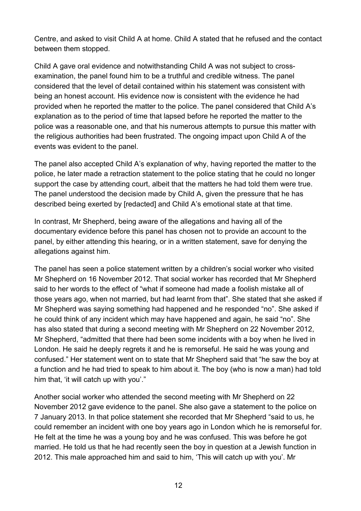Centre, and asked to visit Child A at home. Child A stated that he refused and the contact between them stopped.

Child A gave oral evidence and notwithstanding Child A was not subject to crossexamination, the panel found him to be a truthful and credible witness. The panel considered that the level of detail contained within his statement was consistent with being an honest account. His evidence now is consistent with the evidence he had provided when he reported the matter to the police. The panel considered that Child A's explanation as to the period of time that lapsed before he reported the matter to the police was a reasonable one, and that his numerous attempts to pursue this matter with the religious authorities had been frustrated. The ongoing impact upon Child A of the events was evident to the panel.

The panel also accepted Child A's explanation of why, having reported the matter to the police, he later made a retraction statement to the police stating that he could no longer support the case by attending court, albeit that the matters he had told them were true. The panel understood the decision made by Child A, given the pressure that he has described being exerted by [redacted] and Child A's emotional state at that time.

In contrast, Mr Shepherd, being aware of the allegations and having all of the documentary evidence before this panel has chosen not to provide an account to the panel, by either attending this hearing, or in a written statement, save for denying the allegations against him.

The panel has seen a police statement written by a children's social worker who visited Mr Shepherd on 16 November 2012. That social worker has recorded that Mr Shepherd said to her words to the effect of "what if someone had made a foolish mistake all of those years ago, when not married, but had learnt from that". She stated that she asked if Mr Shepherd was saying something had happened and he responded "no". She asked if he could think of any incident which may have happened and again, he said "no". She has also stated that during a second meeting with Mr Shepherd on 22 November 2012, Mr Shepherd, "admitted that there had been some incidents with a boy when he lived in London. He said he deeply regrets it and he is remorseful. He said he was young and confused." Her statement went on to state that Mr Shepherd said that "he saw the boy at a function and he had tried to speak to him about it. The boy (who is now a man) had told him that, 'it will catch up with you'."

Another social worker who attended the second meeting with Mr Shepherd on 22 November 2012 gave evidence to the panel. She also gave a statement to the police on 7 January 2013. In that police statement she recorded that Mr Shepherd "said to us, he could remember an incident with one boy years ago in London which he is remorseful for. He felt at the time he was a young boy and he was confused. This was before he got married. He told us that he had recently seen the boy in question at a Jewish function in 2012. This male approached him and said to him, 'This will catch up with you'. Mr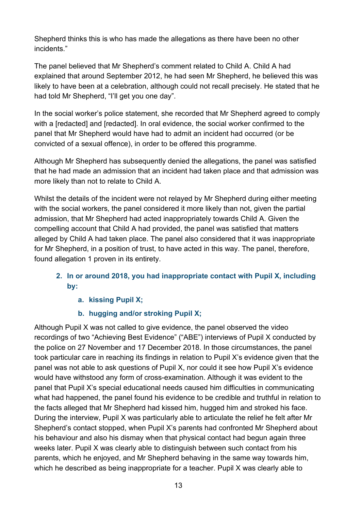Shepherd thinks this is who has made the allegations as there have been no other incidents."

The panel believed that Mr Shepherd's comment related to Child A. Child A had explained that around September 2012, he had seen Mr Shepherd, he believed this was likely to have been at a celebration, although could not recall precisely. He stated that he had told Mr Shepherd, "I'll get you one day".

In the social worker's police statement, she recorded that Mr Shepherd agreed to comply with a [redacted] and [redacted]. In oral evidence, the social worker confirmed to the panel that Mr Shepherd would have had to admit an incident had occurred (or be convicted of a sexual offence), in order to be offered this programme.

Although Mr Shepherd has subsequently denied the allegations, the panel was satisfied that he had made an admission that an incident had taken place and that admission was more likely than not to relate to Child A.

Whilst the details of the incident were not relayed by Mr Shepherd during either meeting with the social workers, the panel considered it more likely than not, given the partial admission, that Mr Shepherd had acted inappropriately towards Child A. Given the compelling account that Child A had provided, the panel was satisfied that matters alleged by Child A had taken place. The panel also considered that it was inappropriate for Mr Shepherd, in a position of trust, to have acted in this way. The panel, therefore, found allegation 1 proven in its entirety.

#### **2. In or around 2018, you had inappropriate contact with Pupil X, including by:**

- **a. kissing Pupil X;**
- **b. hugging and/or stroking Pupil X;**

Although Pupil X was not called to give evidence, the panel observed the video recordings of two "Achieving Best Evidence" ("ABE") interviews of Pupil X conducted by the police on 27 November and 17 December 2018. In those circumstances, the panel took particular care in reaching its findings in relation to Pupil X's evidence given that the panel was not able to ask questions of Pupil X, nor could it see how Pupil X's evidence would have withstood any form of cross-examination. Although it was evident to the panel that Pupil X's special educational needs caused him difficulties in communicating what had happened, the panel found his evidence to be credible and truthful in relation to the facts alleged that Mr Shepherd had kissed him, hugged him and stroked his face. During the interview, Pupil X was particularly able to articulate the relief he felt after Mr Shepherd's contact stopped, when Pupil X's parents had confronted Mr Shepherd about his behaviour and also his dismay when that physical contact had begun again three weeks later. Pupil X was clearly able to distinguish between such contact from his parents, which he enjoyed, and Mr Shepherd behaving in the same way towards him, which he described as being inappropriate for a teacher. Pupil X was clearly able to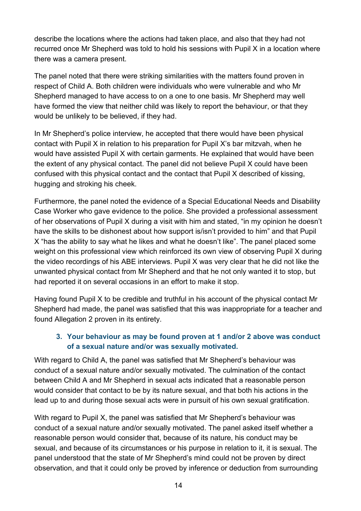describe the locations where the actions had taken place, and also that they had not recurred once Mr Shepherd was told to hold his sessions with Pupil X in a location where there was a camera present.

The panel noted that there were striking similarities with the matters found proven in respect of Child A. Both children were individuals who were vulnerable and who Mr Shepherd managed to have access to on a one to one basis. Mr Shepherd may well have formed the view that neither child was likely to report the behaviour, or that they would be unlikely to be believed, if they had.

In Mr Shepherd's police interview, he accepted that there would have been physical contact with Pupil X in relation to his preparation for Pupil X's bar mitzvah, when he would have assisted Pupil X with certain garments. He explained that would have been the extent of any physical contact. The panel did not believe Pupil X could have been confused with this physical contact and the contact that Pupil X described of kissing, hugging and stroking his cheek.

Furthermore, the panel noted the evidence of a Special Educational Needs and Disability Case Worker who gave evidence to the police. She provided a professional assessment of her observations of Pupil X during a visit with him and stated, "in my opinion he doesn't have the skills to be dishonest about how support is/isn't provided to him" and that Pupil X "has the ability to say what he likes and what he doesn't like". The panel placed some weight on this professional view which reinforced its own view of observing Pupil X during the video recordings of his ABE interviews. Pupil X was very clear that he did not like the unwanted physical contact from Mr Shepherd and that he not only wanted it to stop, but had reported it on several occasions in an effort to make it stop.

Having found Pupil X to be credible and truthful in his account of the physical contact Mr Shepherd had made, the panel was satisfied that this was inappropriate for a teacher and found Allegation 2 proven in its entirety.

#### **3. Your behaviour as may be found proven at 1 and/or 2 above was conduct of a sexual nature and/or was sexually motivated.**

With regard to Child A, the panel was satisfied that Mr Shepherd's behaviour was conduct of a sexual nature and/or sexually motivated. The culmination of the contact between Child A and Mr Shepherd in sexual acts indicated that a reasonable person would consider that contact to be by its nature sexual, and that both his actions in the lead up to and during those sexual acts were in pursuit of his own sexual gratification.

With regard to Pupil X, the panel was satisfied that Mr Shepherd's behaviour was conduct of a sexual nature and/or sexually motivated. The panel asked itself whether a reasonable person would consider that, because of its nature, his conduct may be sexual, and because of its circumstances or his purpose in relation to it, it is sexual. The panel understood that the state of Mr Shepherd's mind could not be proven by direct observation, and that it could only be proved by inference or deduction from surrounding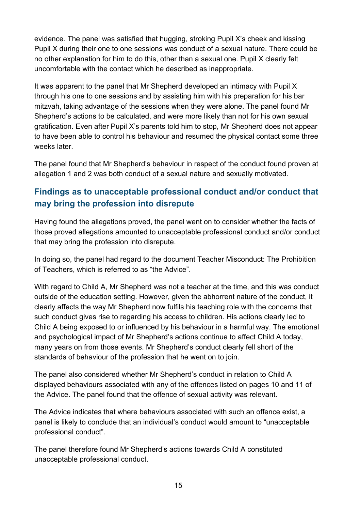evidence. The panel was satisfied that hugging, stroking Pupil X's cheek and kissing Pupil X during their one to one sessions was conduct of a sexual nature. There could be no other explanation for him to do this, other than a sexual one. Pupil X clearly felt uncomfortable with the contact which he described as inappropriate.

It was apparent to the panel that Mr Shepherd developed an intimacy with Pupil X through his one to one sessions and by assisting him with his preparation for his bar mitzvah, taking advantage of the sessions when they were alone. The panel found Mr Shepherd's actions to be calculated, and were more likely than not for his own sexual gratification. Even after Pupil X's parents told him to stop, Mr Shepherd does not appear to have been able to control his behaviour and resumed the physical contact some three weeks later

The panel found that Mr Shepherd's behaviour in respect of the conduct found proven at allegation 1 and 2 was both conduct of a sexual nature and sexually motivated.

## **Findings as to unacceptable professional conduct and/or conduct that may bring the profession into disrepute**

Having found the allegations proved, the panel went on to consider whether the facts of those proved allegations amounted to unacceptable professional conduct and/or conduct that may bring the profession into disrepute.

In doing so, the panel had regard to the document Teacher Misconduct: The Prohibition of Teachers, which is referred to as "the Advice".

With regard to Child A, Mr Shepherd was not a teacher at the time, and this was conduct outside of the education setting. However, given the abhorrent nature of the conduct, it clearly affects the way Mr Shepherd now fulfils his teaching role with the concerns that such conduct gives rise to regarding his access to children. His actions clearly led to Child A being exposed to or influenced by his behaviour in a harmful way. The emotional and psychological impact of Mr Shepherd's actions continue to affect Child A today, many years on from those events. Mr Shepherd's conduct clearly fell short of the standards of behaviour of the profession that he went on to join.

The panel also considered whether Mr Shepherd's conduct in relation to Child A displayed behaviours associated with any of the offences listed on pages 10 and 11 of the Advice. The panel found that the offence of sexual activity was relevant.

The Advice indicates that where behaviours associated with such an offence exist, a panel is likely to conclude that an individual's conduct would amount to "unacceptable professional conduct".

The panel therefore found Mr Shepherd's actions towards Child A constituted unacceptable professional conduct.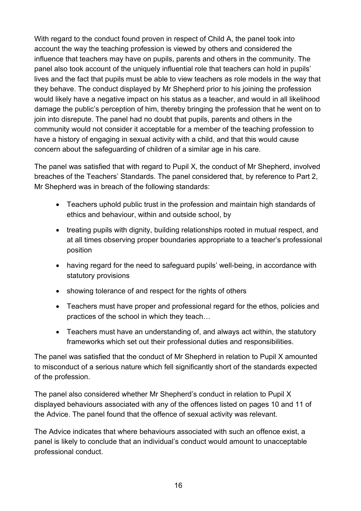With regard to the conduct found proven in respect of Child A, the panel took into account the way the teaching profession is viewed by others and considered the influence that teachers may have on pupils, parents and others in the community. The panel also took account of the uniquely influential role that teachers can hold in pupils' lives and the fact that pupils must be able to view teachers as role models in the way that they behave. The conduct displayed by Mr Shepherd prior to his joining the profession would likely have a negative impact on his status as a teacher, and would in all likelihood damage the public's perception of him, thereby bringing the profession that he went on to join into disrepute. The panel had no doubt that pupils, parents and others in the community would not consider it acceptable for a member of the teaching profession to have a history of engaging in sexual activity with a child, and that this would cause concern about the safeguarding of children of a similar age in his care.

The panel was satisfied that with regard to Pupil X, the conduct of Mr Shepherd, involved breaches of the Teachers' Standards. The panel considered that, by reference to Part 2, Mr Shepherd was in breach of the following standards:

- Teachers uphold public trust in the profession and maintain high standards of ethics and behaviour, within and outside school, by
- treating pupils with dignity, building relationships rooted in mutual respect, and at all times observing proper boundaries appropriate to a teacher's professional position
- having regard for the need to safeguard pupils' well-being, in accordance with statutory provisions
- showing tolerance of and respect for the rights of others
- Teachers must have proper and professional regard for the ethos, policies and practices of the school in which they teach…
- Teachers must have an understanding of, and always act within, the statutory frameworks which set out their professional duties and responsibilities.

The panel was satisfied that the conduct of Mr Shepherd in relation to Pupil X amounted to misconduct of a serious nature which fell significantly short of the standards expected of the profession.

The panel also considered whether Mr Shepherd's conduct in relation to Pupil X displayed behaviours associated with any of the offences listed on pages 10 and 11 of the Advice. The panel found that the offence of sexual activity was relevant.

The Advice indicates that where behaviours associated with such an offence exist, a panel is likely to conclude that an individual's conduct would amount to unacceptable professional conduct.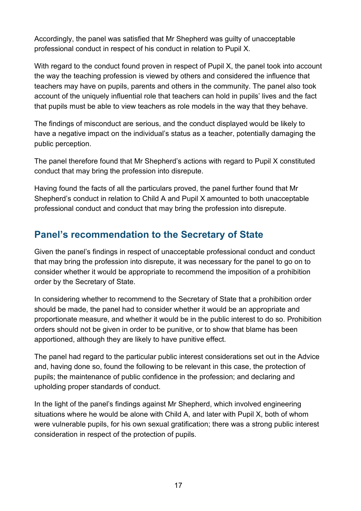Accordingly, the panel was satisfied that Mr Shepherd was guilty of unacceptable professional conduct in respect of his conduct in relation to Pupil X.

With regard to the conduct found proven in respect of Pupil X, the panel took into account the way the teaching profession is viewed by others and considered the influence that teachers may have on pupils, parents and others in the community. The panel also took account of the uniquely influential role that teachers can hold in pupils' lives and the fact that pupils must be able to view teachers as role models in the way that they behave.

The findings of misconduct are serious, and the conduct displayed would be likely to have a negative impact on the individual's status as a teacher, potentially damaging the public perception.

The panel therefore found that Mr Shepherd's actions with regard to Pupil X constituted conduct that may bring the profession into disrepute.

Having found the facts of all the particulars proved, the panel further found that Mr Shepherd's conduct in relation to Child A and Pupil X amounted to both unacceptable professional conduct and conduct that may bring the profession into disrepute.

## <span id="page-16-0"></span>**Panel's recommendation to the Secretary of State**

<span id="page-16-1"></span>Given the panel's findings in respect of unacceptable professional conduct and conduct that may bring the profession into disrepute, it was necessary for the panel to go on to consider whether it would be appropriate to recommend the imposition of a prohibition order by the Secretary of State.

In considering whether to recommend to the Secretary of State that a prohibition order should be made, the panel had to consider whether it would be an appropriate and proportionate measure, and whether it would be in the public interest to do so. Prohibition orders should not be given in order to be punitive, or to show that blame has been apportioned, although they are likely to have punitive effect.

The panel had regard to the particular public interest considerations set out in the Advice and, having done so, found the following to be relevant in this case, the protection of pupils; the maintenance of public confidence in the profession; and declaring and upholding proper standards of conduct.

In the light of the panel's findings against Mr Shepherd, which involved engineering situations where he would be alone with Child A, and later with Pupil X, both of whom were vulnerable pupils, for his own sexual gratification; there was a strong public interest consideration in respect of the protection of pupils.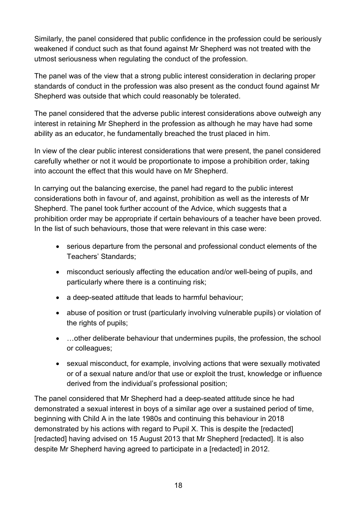Similarly, the panel considered that public confidence in the profession could be seriously weakened if conduct such as that found against Mr Shepherd was not treated with the utmost seriousness when regulating the conduct of the profession.

The panel was of the view that a strong public interest consideration in declaring proper standards of conduct in the profession was also present as the conduct found against Mr Shepherd was outside that which could reasonably be tolerated.

The panel considered that the adverse public interest considerations above outweigh any interest in retaining Mr Shepherd in the profession as although he may have had some ability as an educator, he fundamentally breached the trust placed in him.

In view of the clear public interest considerations that were present, the panel considered carefully whether or not it would be proportionate to impose a prohibition order, taking into account the effect that this would have on Mr Shepherd.

In carrying out the balancing exercise, the panel had regard to the public interest considerations both in favour of, and against, prohibition as well as the interests of Mr Shepherd. The panel took further account of the Advice, which suggests that a prohibition order may be appropriate if certain behaviours of a teacher have been proved. In the list of such behaviours, those that were relevant in this case were:

- serious departure from the personal and professional conduct elements of the Teachers' Standards;
- misconduct seriously affecting the education and/or well-being of pupils, and particularly where there is a continuing risk;
- a deep-seated attitude that leads to harmful behaviour;
- abuse of position or trust (particularly involving vulnerable pupils) or violation of the rights of pupils;
- …other deliberate behaviour that undermines pupils, the profession, the school or colleagues;
- sexual misconduct, for example, involving actions that were sexually motivated or of a sexual nature and/or that use or exploit the trust, knowledge or influence derived from the individual's professional position;

The panel considered that Mr Shepherd had a deep-seated attitude since he had demonstrated a sexual interest in boys of a similar age over a sustained period of time, beginning with Child A in the late 1980s and continuing this behaviour in 2018 demonstrated by his actions with regard to Pupil X. This is despite the [redacted] [redacted] having advised on 15 August 2013 that Mr Shepherd [redacted]. It is also despite Mr Shepherd having agreed to participate in a [redacted] in 2012.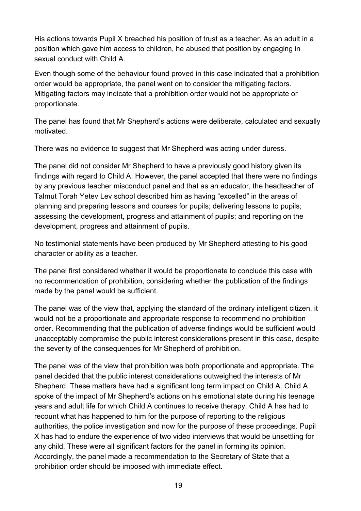His actions towards Pupil X breached his position of trust as a teacher. As an adult in a position which gave him access to children, he abused that position by engaging in sexual conduct with Child A.

Even though some of the behaviour found proved in this case indicated that a prohibition order would be appropriate, the panel went on to consider the mitigating factors. Mitigating factors may indicate that a prohibition order would not be appropriate or proportionate.

The panel has found that Mr Shepherd's actions were deliberate, calculated and sexually motivated.

There was no evidence to suggest that Mr Shepherd was acting under duress.

The panel did not consider Mr Shepherd to have a previously good history given its findings with regard to Child A. However, the panel accepted that there were no findings by any previous teacher misconduct panel and that as an educator, the headteacher of Talmut Torah Yetev Lev school described him as having "excelled" in the areas of planning and preparing lessons and courses for pupils; delivering lessons to pupils; assessing the development, progress and attainment of pupils; and reporting on the development, progress and attainment of pupils.

No testimonial statements have been produced by Mr Shepherd attesting to his good character or ability as a teacher.

The panel first considered whether it would be proportionate to conclude this case with no recommendation of prohibition, considering whether the publication of the findings made by the panel would be sufficient.

The panel was of the view that, applying the standard of the ordinary intelligent citizen, it would not be a proportionate and appropriate response to recommend no prohibition order. Recommending that the publication of adverse findings would be sufficient would unacceptably compromise the public interest considerations present in this case, despite the severity of the consequences for Mr Shepherd of prohibition.

The panel was of the view that prohibition was both proportionate and appropriate. The panel decided that the public interest considerations outweighed the interests of Mr Shepherd. These matters have had a significant long term impact on Child A. Child A spoke of the impact of Mr Shepherd's actions on his emotional state during his teenage years and adult life for which Child A continues to receive therapy. Child A has had to recount what has happened to him for the purpose of reporting to the religious authorities, the police investigation and now for the purpose of these proceedings. Pupil X has had to endure the experience of two video interviews that would be unsettling for any child. These were all significant factors for the panel in forming its opinion. Accordingly, the panel made a recommendation to the Secretary of State that a prohibition order should be imposed with immediate effect.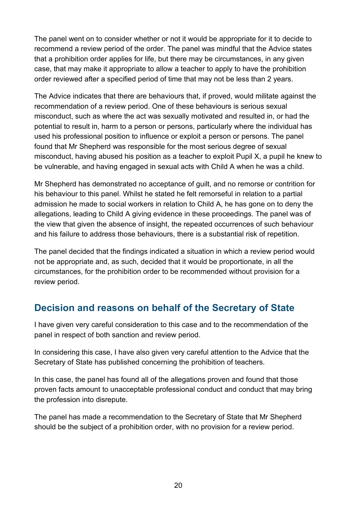The panel went on to consider whether or not it would be appropriate for it to decide to recommend a review period of the order. The panel was mindful that the Advice states that a prohibition order applies for life, but there may be circumstances, in any given case, that may make it appropriate to allow a teacher to apply to have the prohibition order reviewed after a specified period of time that may not be less than 2 years.

The Advice indicates that there are behaviours that, if proved, would militate against the recommendation of a review period. One of these behaviours is serious sexual misconduct, such as where the act was sexually motivated and resulted in, or had the potential to result in, harm to a person or persons, particularly where the individual has used his professional position to influence or exploit a person or persons. The panel found that Mr Shepherd was responsible for the most serious degree of sexual misconduct, having abused his position as a teacher to exploit Pupil X, a pupil he knew to be vulnerable, and having engaged in sexual acts with Child A when he was a child.

Mr Shepherd has demonstrated no acceptance of guilt, and no remorse or contrition for his behaviour to this panel. Whilst he stated he felt remorseful in relation to a partial admission he made to social workers in relation to Child A, he has gone on to deny the allegations, leading to Child A giving evidence in these proceedings. The panel was of the view that given the absence of insight, the repeated occurrences of such behaviour and his failure to address those behaviours, there is a substantial risk of repetition.

The panel decided that the findings indicated a situation in which a review period would not be appropriate and, as such, decided that it would be proportionate, in all the circumstances, for the prohibition order to be recommended without provision for a review period.

## **Decision and reasons on behalf of the Secretary of State**

I have given very careful consideration to this case and to the recommendation of the panel in respect of both sanction and review period.

In considering this case, I have also given very careful attention to the Advice that the Secretary of State has published concerning the prohibition of teachers.

In this case, the panel has found all of the allegations proven and found that those proven facts amount to unacceptable professional conduct and conduct that may bring the profession into disrepute.

The panel has made a recommendation to the Secretary of State that Mr Shepherd should be the subject of a prohibition order, with no provision for a review period.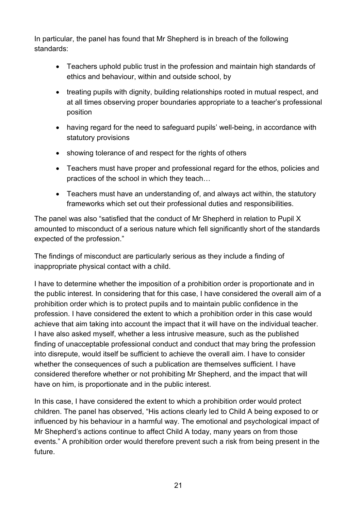In particular, the panel has found that Mr Shepherd is in breach of the following standards:

- Teachers uphold public trust in the profession and maintain high standards of ethics and behaviour, within and outside school, by
- treating pupils with dignity, building relationships rooted in mutual respect, and at all times observing proper boundaries appropriate to a teacher's professional position
- having regard for the need to safeguard pupils' well-being, in accordance with statutory provisions
- showing tolerance of and respect for the rights of others
- Teachers must have proper and professional regard for the ethos, policies and practices of the school in which they teach…
- Teachers must have an understanding of, and always act within, the statutory frameworks which set out their professional duties and responsibilities.

The panel was also "satisfied that the conduct of Mr Shepherd in relation to Pupil X amounted to misconduct of a serious nature which fell significantly short of the standards expected of the profession."

The findings of misconduct are particularly serious as they include a finding of inappropriate physical contact with a child.

I have to determine whether the imposition of a prohibition order is proportionate and in the public interest. In considering that for this case, I have considered the overall aim of a prohibition order which is to protect pupils and to maintain public confidence in the profession. I have considered the extent to which a prohibition order in this case would achieve that aim taking into account the impact that it will have on the individual teacher. I have also asked myself, whether a less intrusive measure, such as the published finding of unacceptable professional conduct and conduct that may bring the profession into disrepute, would itself be sufficient to achieve the overall aim. I have to consider whether the consequences of such a publication are themselves sufficient. I have considered therefore whether or not prohibiting Mr Shepherd, and the impact that will have on him, is proportionate and in the public interest.

In this case, I have considered the extent to which a prohibition order would protect children. The panel has observed, "His actions clearly led to Child A being exposed to or influenced by his behaviour in a harmful way. The emotional and psychological impact of Mr Shepherd's actions continue to affect Child A today, many years on from those events." A prohibition order would therefore prevent such a risk from being present in the future.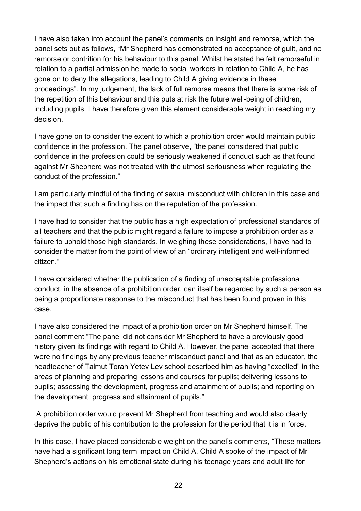I have also taken into account the panel's comments on insight and remorse, which the panel sets out as follows, "Mr Shepherd has demonstrated no acceptance of guilt, and no remorse or contrition for his behaviour to this panel. Whilst he stated he felt remorseful in relation to a partial admission he made to social workers in relation to Child A, he has gone on to deny the allegations, leading to Child A giving evidence in these proceedings". In my judgement, the lack of full remorse means that there is some risk of the repetition of this behaviour and this puts at risk the future well-being of children, including pupils. I have therefore given this element considerable weight in reaching my decision.

I have gone on to consider the extent to which a prohibition order would maintain public confidence in the profession. The panel observe, "the panel considered that public confidence in the profession could be seriously weakened if conduct such as that found against Mr Shepherd was not treated with the utmost seriousness when regulating the conduct of the profession."

I am particularly mindful of the finding of sexual misconduct with children in this case and the impact that such a finding has on the reputation of the profession.

I have had to consider that the public has a high expectation of professional standards of all teachers and that the public might regard a failure to impose a prohibition order as a failure to uphold those high standards. In weighing these considerations, I have had to consider the matter from the point of view of an "ordinary intelligent and well-informed citizen."

I have considered whether the publication of a finding of unacceptable professional conduct, in the absence of a prohibition order, can itself be regarded by such a person as being a proportionate response to the misconduct that has been found proven in this case.

I have also considered the impact of a prohibition order on Mr Shepherd himself. The panel comment "The panel did not consider Mr Shepherd to have a previously good history given its findings with regard to Child A. However, the panel accepted that there were no findings by any previous teacher misconduct panel and that as an educator, the headteacher of Talmut Torah Yetev Lev school described him as having "excelled" in the areas of planning and preparing lessons and courses for pupils; delivering lessons to pupils; assessing the development, progress and attainment of pupils; and reporting on the development, progress and attainment of pupils."

A prohibition order would prevent Mr Shepherd from teaching and would also clearly deprive the public of his contribution to the profession for the period that it is in force.

In this case, I have placed considerable weight on the panel's comments, "These matters have had a significant long term impact on Child A. Child A spoke of the impact of Mr Shepherd's actions on his emotional state during his teenage years and adult life for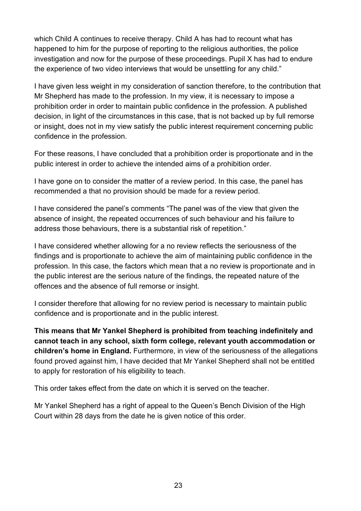which Child A continues to receive therapy. Child A has had to recount what has happened to him for the purpose of reporting to the religious authorities, the police investigation and now for the purpose of these proceedings. Pupil X has had to endure the experience of two video interviews that would be unsettling for any child."

I have given less weight in my consideration of sanction therefore, to the contribution that Mr Shepherd has made to the profession. In my view, it is necessary to impose a prohibition order in order to maintain public confidence in the profession. A published decision, in light of the circumstances in this case, that is not backed up by full remorse or insight, does not in my view satisfy the public interest requirement concerning public confidence in the profession.

For these reasons, I have concluded that a prohibition order is proportionate and in the public interest in order to achieve the intended aims of a prohibition order.

I have gone on to consider the matter of a review period. In this case, the panel has recommended a that no provision should be made for a review period.

I have considered the panel's comments "The panel was of the view that given the absence of insight, the repeated occurrences of such behaviour and his failure to address those behaviours, there is a substantial risk of repetition."

I have considered whether allowing for a no review reflects the seriousness of the findings and is proportionate to achieve the aim of maintaining public confidence in the profession. In this case, the factors which mean that a no review is proportionate and in the public interest are the serious nature of the findings, the repeated nature of the offences and the absence of full remorse or insight.

I consider therefore that allowing for no review period is necessary to maintain public confidence and is proportionate and in the public interest.

**This means that Mr Yankel Shepherd is prohibited from teaching indefinitely and cannot teach in any school, sixth form college, relevant youth accommodation or children's home in England.** Furthermore, in view of the seriousness of the allegations found proved against him, I have decided that Mr Yankel Shepherd shall not be entitled to apply for restoration of his eligibility to teach.

This order takes effect from the date on which it is served on the teacher.

Mr Yankel Shepherd has a right of appeal to the Queen's Bench Division of the High Court within 28 days from the date he is given notice of this order.